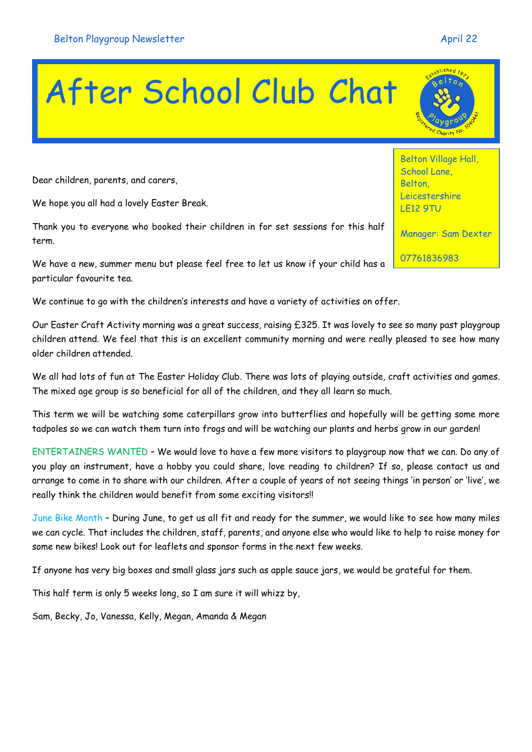## After School Club Chat

Dear children, parents, and carers,

We hope you all had a lovely Easter Break.

Thank you to everyone who booked their children in for set sessions for this half term.

We have a new, summer menu but please feel free to let us know if your child has a particular favourite tea.

We continue to go with the children's interests and have a variety of activities on offer.

Our Easter Craft Activity morning was a great success, raising £325. It was lovely to see so many past playgroup children attend. We feel that this is an excellent community morning and were really pleased to see how many older children attended.

We all had lots of fun at The Easter Holiday Club. There was lots of playing outside, craft activities and games. The mixed age group is so beneficial for all of the children, and they all learn so much.

This term we will be watching some caterpillars grow into butterflies and hopefully will be getting some more tadpoles so we can watch them turn into frogs and will be watching our plants and herbs grow in our garden!

ENTERTAINERS WANTED – We would love to have a few more visitors to playgroup now that we can. Do any of you play an instrument, have a hobby you could share, love reading to children? If so, please contact us and arrange to come in to share with our children. After a couple of years of not seeing things 'in person' or 'live', we really think the children would benefit from some exciting visitors!!

June Bike Month – During June, to get us all fit and ready for the summer, we would like to see how many miles we can cycle. That includes the children, staff, parents, and anyone else who would like to help to raise money for some new bikes! Look out for leaflets and sponsor forms in the next few weeks.

If anyone has very big boxes and small glass jars such as apple sauce jars, we would be grateful for them.

This half term is only 5 weeks long, so I am sure it will whizz by,

Sam, Becky, Jo, Vanessa, Kelly, Megan, Amanda & Megan

Belton Village Hall, School Lane, Belton, Leicestershire LE12 9TU

Manager: Sam Dexter

07761836983